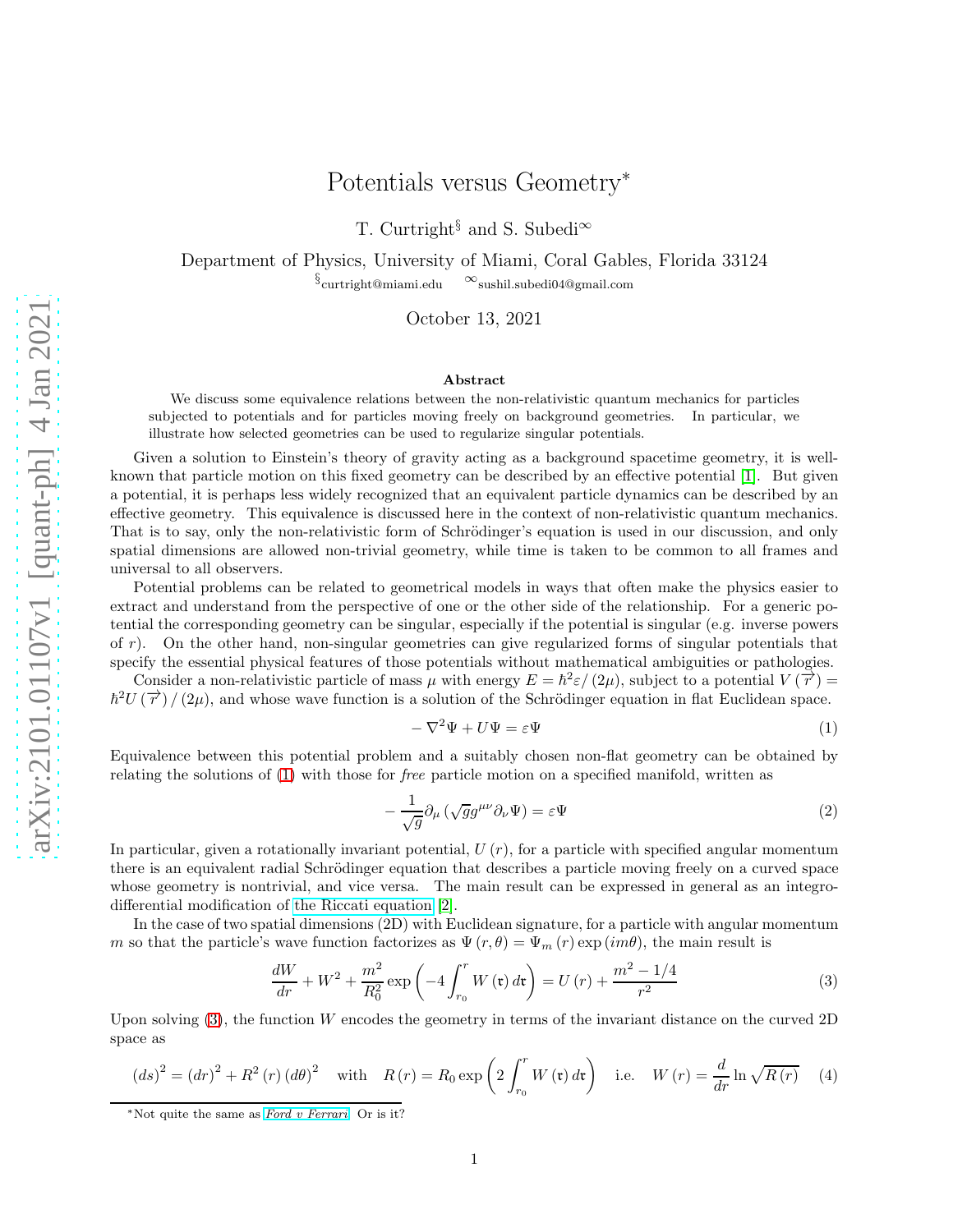## Potentials versus Geometry<sup>∗</sup>

T. Curtright<sup>§</sup> and S. Subedi<sup>∞</sup>

Department of Physics, University of Miami, Coral Gables, Florida 33124  $\S$ curtright@miami.edu  $\infty$ sushil.subedi04@gmail.com

October 13, 2021

## Abstract

We discuss some equivalence relations between the non-relativistic quantum mechanics for particles subjected to potentials and for particles moving freely on background geometries. In particular, we illustrate how selected geometries can be used to regularize singular potentials.

Given a solution to Einstein's theory of gravity acting as a background spacetime geometry, it is wellknown that particle motion on this fixed geometry can be described by an effective potential [\[1\]](#page-5-0). But given a potential, it is perhaps less widely recognized that an equivalent particle dynamics can be described by an effective geometry. This equivalence is discussed here in the context of non-relativistic quantum mechanics. That is to say, only the non-relativistic form of Schrödinger's equation is used in our discussion, and only spatial dimensions are allowed non-trivial geometry, while time is taken to be common to all frames and universal to all observers.

Potential problems can be related to geometrical models in ways that often make the physics easier to extract and understand from the perspective of one or the other side of the relationship. For a generic potential the corresponding geometry can be singular, especially if the potential is singular (e.g. inverse powers of r). On the other hand, non-singular geometries can give regularized forms of singular potentials that specify the essential physical features of those potentials without mathematical ambiguities or pathologies.

Consider a non-relativistic particle of mass  $\mu$  with energy  $E = \hbar^2 \varepsilon/(2\mu)$ , subject to a potential  $V(\vec{r}) =$  $\hbar^2 U(\vec{r}) / (2\mu)$ , and whose wave function is a solution of the Schrödinger equation in flat Euclidean space.

<span id="page-0-0"></span>
$$
-\nabla^2 \Psi + U\Psi = \varepsilon \Psi \tag{1}
$$

Equivalence between this potential problem and a suitably chosen non-flat geometry can be obtained by relating the solutions of [\(1\)](#page-0-0) with those for free particle motion on a specified manifold, written as

<span id="page-0-3"></span>
$$
-\frac{1}{\sqrt{g}}\partial_{\mu}\left(\sqrt{g}g^{\mu\nu}\partial_{\nu}\Psi\right) = \varepsilon\Psi\tag{2}
$$

In particular, given a rotationally invariant potential,  $U(r)$ , for a particle with specified angular momentum there is an equivalent radial Schrödinger equation that describes a particle moving freely on a curved space whose geometry is nontrivial, and vice versa. The main result can be expressed in general as an integrodifferential modification of [the Riccati equation](https://en.wikipedia.org/wiki/Riccati_equation) [\[2\]](#page-5-1).

In the case of two spatial dimensions (2D) with Euclidean signature, for a particle with angular momentum m so that the particle's wave function factorizes as  $\Psi(r, \theta) = \Psi_m(r) \exp(im\theta)$ , the main result is

<span id="page-0-1"></span>
$$
\frac{dW}{dr} + W^2 + \frac{m^2}{R_0^2} \exp\left(-4 \int_{r_0}^r W(\mathfrak{r}) d\mathfrak{r}\right) = U(r) + \frac{m^2 - 1/4}{r^2}
$$
\n(3)

Upon solving  $(3)$ , the function W encodes the geometry in terms of the invariant distance on the curved 2D space as

<span id="page-0-2"></span>
$$
(ds)^{2} = (dr)^{2} + R^{2}(r) (d\theta)^{2} \quad \text{with} \quad R(r) = R_{0} \exp\left(2 \int_{r_{0}}^{r} W(\mathfrak{r}) d\mathfrak{r}\right) \quad \text{i.e.} \quad W(r) = \frac{d}{dr} \ln \sqrt{R(r)} \tag{4}
$$

<sup>∗</sup>Not quite the same as [Ford v Ferrari](https://en.wikipedia.org/wiki/Ford_v_Ferrari). Or is it?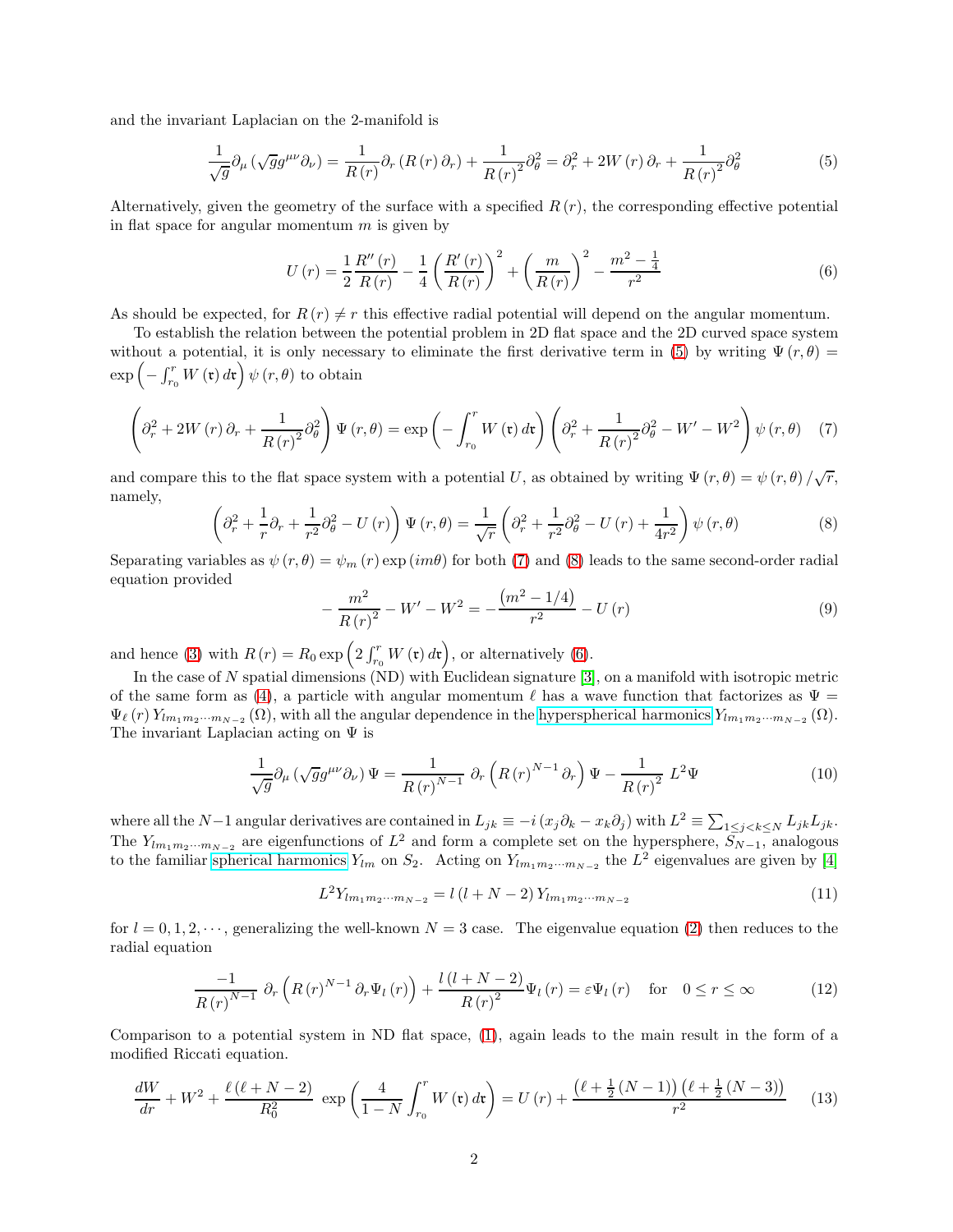and the invariant Laplacian on the 2-manifold is

<span id="page-1-0"></span>
$$
\frac{1}{\sqrt{g}}\partial_{\mu}\left(\sqrt{g}g^{\mu\nu}\partial_{\nu}\right) = \frac{1}{R(r)}\partial_{r}\left(R(r)\,\partial_{r}\right) + \frac{1}{R(r)^{2}}\partial_{\theta}^{2} = \partial_{r}^{2} + 2W(r)\,\partial_{r} + \frac{1}{R(r)^{2}}\partial_{\theta}^{2}
$$
(5)

Alternatively, given the geometry of the surface with a specified  $R(r)$ , the corresponding effective potential in flat space for angular momentum  $m$  is given by

<span id="page-1-3"></span>
$$
U(r) = \frac{1}{2} \frac{R''(r)}{R(r)} - \frac{1}{4} \left(\frac{R'(r)}{R(r)}\right)^2 + \left(\frac{m}{R(r)}\right)^2 - \frac{m^2 - \frac{1}{4}}{r^2}
$$
(6)

As should be expected, for  $R(r) \neq r$  this effective radial potential will depend on the angular momentum.

To establish the relation between the potential problem in 2D flat space and the 2D curved space system without a potential, it is only necessary to eliminate the first derivative term in [\(5\)](#page-1-0) by writing  $\Psi(r,\theta)$  =  $\exp\left(-\int_{r_0}^r W\left(\mathfrak{r}\right) d\mathfrak{r}\right)\psi\left(r,\theta\right) \text{ to obtain }$ 

<span id="page-1-1"></span>
$$
\left(\partial_r^2 + 2W(r)\partial_r + \frac{1}{R(r)^2}\partial_\theta^2\right)\Psi(r,\theta) = \exp\left(-\int_{r_0}^r W(\mathfrak{r})\,d\mathfrak{r}\right)\left(\partial_r^2 + \frac{1}{R(r)^2}\partial_\theta^2 - W' - W^2\right)\psi(r,\theta) \tag{7}
$$

and compare this to the flat space system with a potential U, as obtained by writing  $\Psi(r,\theta) = \psi(r,\theta)/\sqrt{r}$ , namely,

<span id="page-1-2"></span>
$$
\left(\partial_r^2 + \frac{1}{r}\partial_r + \frac{1}{r^2}\partial_\theta^2 - U(r)\right)\Psi(r,\theta) = \frac{1}{\sqrt{r}}\left(\partial_r^2 + \frac{1}{r^2}\partial_\theta^2 - U(r) + \frac{1}{4r^2}\right)\psi(r,\theta)
$$
\n(8)

Separating variables as  $\psi(r, \theta) = \psi_m(r) \exp(im\theta)$  for both [\(7\)](#page-1-1) and [\(8\)](#page-1-2) leads to the same second-order radial equation provided

$$
-\frac{m^2}{R(r)^2} - W' - W^2 = -\frac{(m^2 - 1/4)}{r^2} - U(r)
$$
\n(9)

and hence [\(3\)](#page-0-1) with  $R(r) = R_0 \exp\left(2 \int_{r_0}^r W(\mathfrak{r}) d\mathfrak{r}\right)$ , or alternatively [\(6\)](#page-1-3).

In the case of N spatial dimensions (ND) with Euclidean signature  $[3]$ , on a manifold with isotropic metric of the same form as [\(4\)](#page-0-2), a particle with angular momentum  $\ell$  has a wave function that factorizes as  $\Psi =$  $\Psi_{\ell}(r) Y_{lm_1m_2\cdots m_{N-2}}(\Omega)$ , with all the angular dependence in the [hyperspherical harmonics](https://en.wikipedia.org/wiki/Spherical_harmonics#Higher_dimensions)  $Y_{lm_1m_2\cdots m_{N-2}}(\Omega)$ . The invariant Laplacian acting on  $\Psi$  is

$$
\frac{1}{\sqrt{g}}\partial_{\mu}\left(\sqrt{g}g^{\mu\nu}\partial_{\nu}\right)\Psi = \frac{1}{R(r)^{N-1}}\,\partial_{r}\left(R(r)^{N-1}\,\partial_{r}\right)\Psi - \frac{1}{R(r)^{2}}\,L^{2}\Psi\tag{10}
$$

where all the N-1 angular derivatives are contained in  $L_{jk} \equiv -i(x_j\partial_k - x_k\partial_j)$  with  $L^2 \equiv \sum_{1 \leq j < k \leq N} L_{jk}L_{jk}$ . The  $Y_{lm_1m_2\cdots m_{N-2}}$  are eigenfunctions of  $L^2$  and form a complete set on the hypersphere,  $S_{N-1}$ , analogous to the familiar [spherical harmonics](https://en.wikipedia.org/wiki/Spherical_harmonics)  $Y_{lm}$  on  $S_2$ . Acting on  $Y_{lm_1m_2\cdots m_{N-2}}$  the  $L^2$  eigenvalues are given by [\[4\]](#page-5-3)

$$
L^{2}Y_{lm_{1}m_{2}\cdots m_{N-2}} = l(l+N-2)Y_{lm_{1}m_{2}\cdots m_{N-2}}
$$
\n(11)

for  $l = 0, 1, 2, \dots$ , generalizing the well-known  $N = 3$  case. The eigenvalue equation [\(2\)](#page-0-3) then reduces to the radial equation

$$
\frac{-1}{R(r)^{N-1}} \partial_r \left( R(r)^{N-1} \partial_r \Psi_l \left( r \right) \right) + \frac{l \left( l + N - 2 \right)}{R(r)^2} \Psi_l \left( r \right) = \varepsilon \Psi_l \left( r \right) \quad \text{for} \quad 0 \le r \le \infty \tag{12}
$$

Comparison to a potential system in ND flat space, [\(1\)](#page-0-0), again leads to the main result in the form of a modified Riccati equation.

<span id="page-1-4"></span>
$$
\frac{dW}{dr} + W^2 + \frac{\ell(\ell+N-2)}{R_0^2} \exp\left(\frac{4}{1-N} \int_{r_0}^r W(\mathfrak{r}) d\mathfrak{r}\right) = U(r) + \frac{(\ell+\frac{1}{2}(N-1))(\ell+\frac{1}{2}(N-3))}{r^2} \tag{13}
$$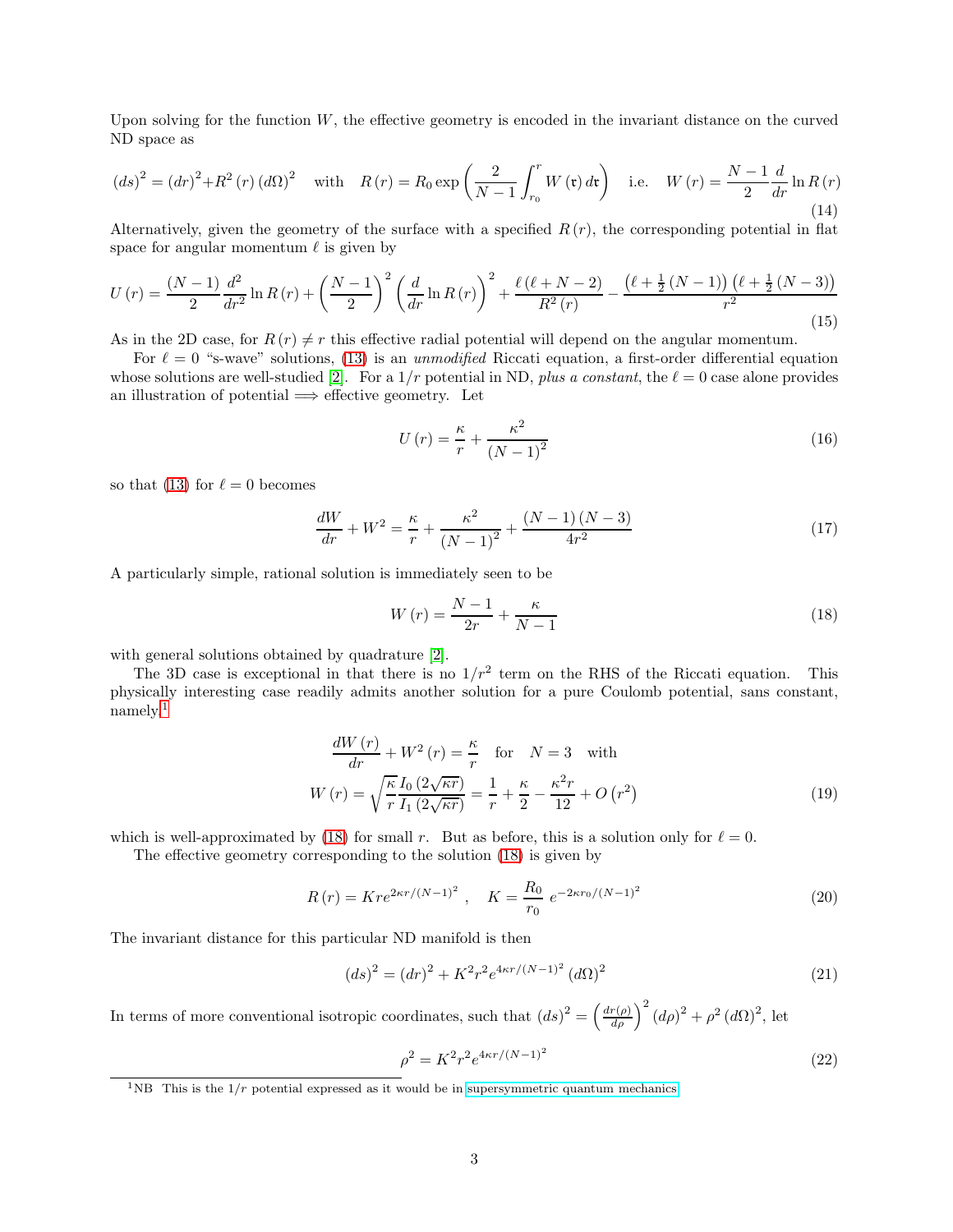Upon solving for the function  $W$ , the effective geometry is encoded in the invariant distance on the curved ND space as

<span id="page-2-2"></span>
$$
(ds)^{2} = (dr)^{2} + R^{2}(r) (d\Omega)^{2} \quad \text{with} \quad R(r) = R_{0} \exp\left(\frac{2}{N-1} \int_{r_{0}}^{r} W(\mathbf{r}) d\mathbf{r}\right) \quad \text{i.e.} \quad W(r) = \frac{N-1}{2} \frac{d}{dr} \ln R(r)
$$
\n(14)

Alternatively, given the geometry of the surface with a specified  $R(r)$ , the corresponding potential in flat space for angular momentum  $\ell$  is given by

<span id="page-2-3"></span>
$$
U(r) = \frac{(N-1)}{2} \frac{d^2}{dr^2} \ln R(r) + \left(\frac{N-1}{2}\right)^2 \left(\frac{d}{dr} \ln R(r)\right)^2 + \frac{\ell(\ell+N-2)}{R^2(r)} - \frac{(\ell+\frac{1}{2}(N-1))(\ell+\frac{1}{2}(N-3))}{r^2}
$$
(15)

As in the 2D case, for  $R(r) \neq r$  this effective radial potential will depend on the angular momentum.

For  $\ell = 0$  "s-wave" solutions, [\(13\)](#page-1-4) is an unmodified Riccati equation, a first-order differential equation whose solutions are well-studied [\[2\]](#page-5-1). For a  $1/r$  potential in ND, plus a constant, the  $\ell = 0$  case alone provides an illustration of potential  $\implies$  effective geometry. Let

$$
U\left(r\right) = \frac{\kappa}{r} + \frac{\kappa^2}{\left(N - 1\right)^2} \tag{16}
$$

so that [\(13\)](#page-1-4) for  $\ell = 0$  becomes

$$
\frac{dW}{dr} + W^2 = \frac{\kappa}{r} + \frac{\kappa^2}{(N-1)^2} + \frac{(N-1)(N-3)}{4r^2} \tag{17}
$$

A particularly simple, rational solution is immediately seen to be

<span id="page-2-1"></span>
$$
W(r) = \frac{N-1}{2r} + \frac{\kappa}{N-1}
$$
\n(18)

with general solutions obtained by quadrature [\[2\]](#page-5-1).

The 3D case is exceptional in that there is no  $1/r^2$  term on the RHS of the Riccati equation. This physically interesting case readily admits another solution for a pure Coulomb potential, sans constant, namely,[1](#page-2-0)

$$
\frac{dW(r)}{dr} + W^2(r) = \frac{\kappa}{r} \quad \text{for} \quad N = 3 \quad \text{with}
$$
\n
$$
W(r) = \sqrt{\frac{\kappa}{r}} \frac{I_0(2\sqrt{\kappa r})}{I_1(2\sqrt{\kappa r})} = \frac{1}{r} + \frac{\kappa}{2} - \frac{\kappa^2 r}{12} + O(r^2)
$$
\n(19)

which is well-approximated by [\(18\)](#page-2-1) for small r. But as before, this is a solution only for  $\ell = 0$ .

The effective geometry corresponding to the solution [\(18\)](#page-2-1) is given by

$$
R(r) = Kre^{2\kappa r/(N-1)^2}, \quad K = \frac{R_0}{r_0} e^{-2\kappa r_0/(N-1)^2}
$$
\n(20)

The invariant distance for this particular ND manifold is then

$$
(ds)^{2} = (dr)^{2} + K^{2}r^{2}e^{4\kappa r/(N-1)^{2}} (d\Omega)^{2}
$$
\n(21)

In terms of more conventional isotropic coordinates, such that  $(ds)^2 = \left(\frac{dr(\rho)}{d\rho}\right)^2 (d\rho)^2 + \rho^2 (d\Omega)^2$ , let

$$
\rho^2 = K^2 r^2 e^{4\kappa r/(N-1)^2} \tag{22}
$$

<span id="page-2-0"></span><sup>&</sup>lt;sup>1</sup>NB This is the  $1/r$  potential expressed as it would be in [supersymmetric quantum mechanics.](https://en.wikipedia.org/wiki/Supersymmetric_quantum_mechanics)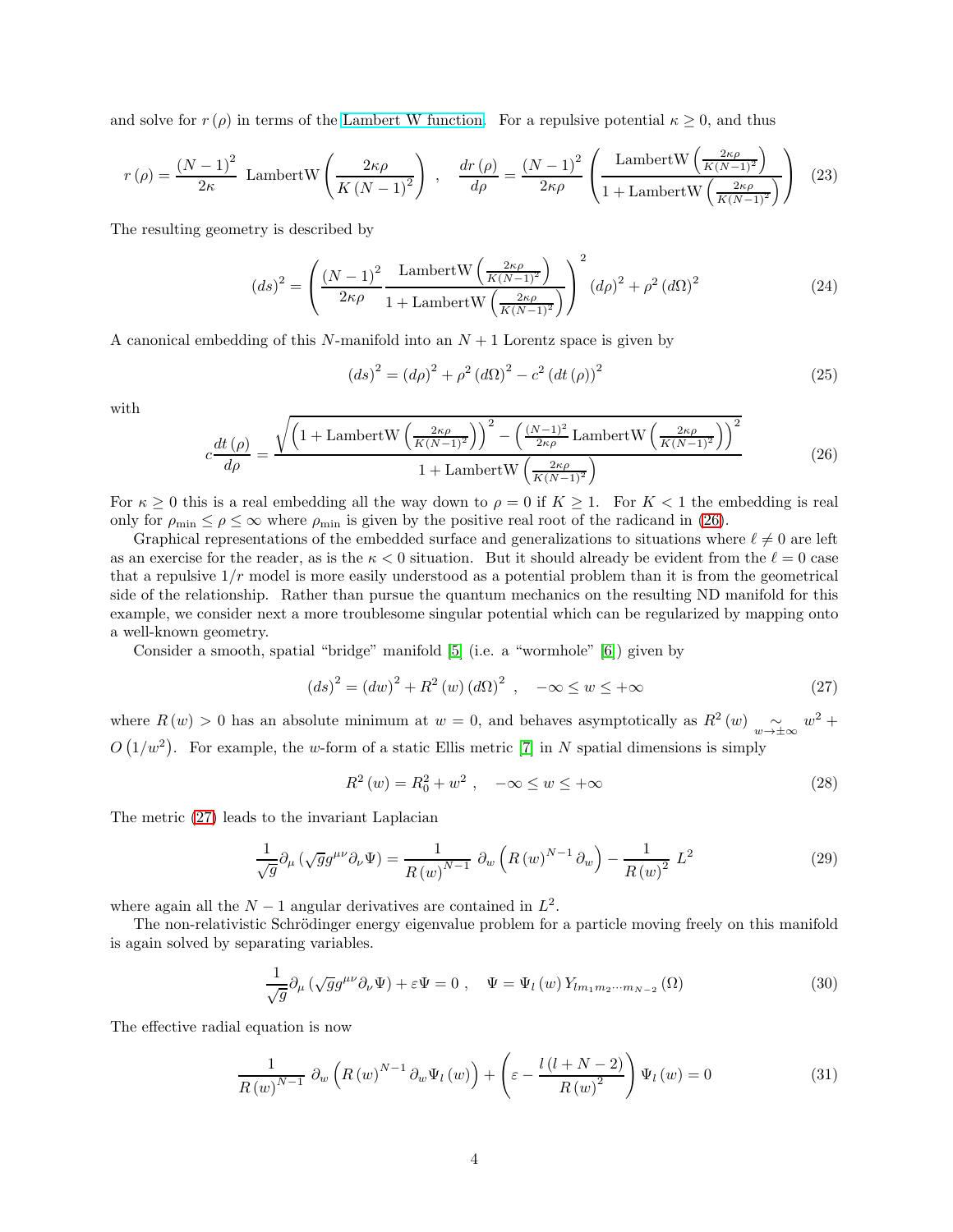and solve for  $r(\rho)$  in terms of the [Lambert W function.](https://en.wikipedia.org/wiki/Lambert_W_function) For a repulsive potential  $\kappa \geq 0$ , and thus

$$
r(\rho) = \frac{(N-1)^2}{2\kappa} \text{ LambertW}\left(\frac{2\kappa\rho}{K\left(N-1\right)^2}\right) , \quad \frac{dr(\rho)}{d\rho} = \frac{(N-1)^2}{2\kappa\rho} \left(\frac{\text{LambertW}\left(\frac{2\kappa\rho}{K\left(N-1\right)^2}\right)}{1+\text{LambertW}\left(\frac{2\kappa\rho}{K\left(N-1\right)^2}\right)}\right) \tag{23}
$$

The resulting geometry is described by

$$
(ds)^{2} = \left(\frac{(N-1)^{2}}{2\kappa\rho} \frac{\text{LambertW}\left(\frac{2\kappa\rho}{K(N-1)^{2}}\right)}{1+\text{LambertW}\left(\frac{2\kappa\rho}{K(N-1)^{2}}\right)}\right)^{2} (d\rho)^{2} + \rho^{2} (d\Omega)^{2}
$$
(24)

A canonical embedding of this N-manifold into an  $N+1$  Lorentz space is given by

$$
(ds)^{2} = (d\rho)^{2} + \rho^{2} (d\Omega)^{2} - c^{2} (dt (\rho))^{2}
$$
\n(25)

with

<span id="page-3-0"></span>
$$
c\frac{dt(\rho)}{d\rho} = \frac{\sqrt{\left(1 + \text{LambertW}\left(\frac{2\kappa\rho}{K(N-1)^2}\right)\right)^2 - \left(\frac{(N-1)^2}{2\kappa\rho}\text{LambertW}\left(\frac{2\kappa\rho}{K(N-1)^2}\right)\right)^2}}{1 + \text{LambertW}\left(\frac{2\kappa\rho}{K(N-1)^2}\right)}\tag{26}
$$

For  $\kappa \geq 0$  this is a real embedding all the way down to  $\rho = 0$  if  $K \geq 1$ . For  $K < 1$  the embedding is real only for  $\rho_{\min} \leq \rho \leq \infty$  where  $\rho_{\min}$  is given by the positive real root of the radicand in [\(26\)](#page-3-0).

Graphical representations of the embedded surface and generalizations to situations where  $\ell \neq 0$  are left as an exercise for the reader, as is the  $\kappa < 0$  situation. But it should already be evident from the  $\ell = 0$  case that a repulsive  $1/r$  model is more easily understood as a potential problem than it is from the geometrical side of the relationship. Rather than pursue the quantum mechanics on the resulting ND manifold for this example, we consider next a more troublesome singular potential which can be regularized by mapping onto a well-known geometry.

Consider a smooth, spatial "bridge" manifold [\[5\]](#page-5-4) (i.e. a "wormhole" [\[6\]](#page-5-5)) given by

<span id="page-3-1"></span>
$$
(ds)^{2} = (dw)^{2} + R^{2}(w) (d\Omega)^{2} , \quad -\infty \le w \le +\infty
$$
 (27)

where  $R(w) > 0$  has an absolute minimum at  $w = 0$ , and behaves asymptotically as  $R^2(w) \sim_{w \to \pm \infty} w^2 +$  $O(1/w^2)$ . For example, the w-form of a static Ellis metric [\[7\]](#page-5-6) in N spatial dimensions is simply

<span id="page-3-3"></span>
$$
R^{2}(w) = R_{0}^{2} + w^{2} , \quad -\infty \le w \le +\infty
$$
 (28)

The metric [\(27\)](#page-3-1) leads to the invariant Laplacian

$$
\frac{1}{\sqrt{g}}\partial_{\mu}\left(\sqrt{g}g^{\mu\nu}\partial_{\nu}\Psi\right) = \frac{1}{R(w)^{N-1}}\partial_{w}\left(R(w)^{N-1}\partial_{w}\right) - \frac{1}{R(w)^{2}}L^{2}
$$
\n(29)

where again all the  $N-1$  angular derivatives are contained in  $L^2$ .

The non-relativistic Schrödinger energy eigenvalue problem for a particle moving freely on this manifold is again solved by separating variables.

$$
\frac{1}{\sqrt{g}}\partial_{\mu}\left(\sqrt{g}g^{\mu\nu}\partial_{\nu}\Psi\right) + \varepsilon\Psi = 0\;, \quad \Psi = \Psi_l\left(w\right)Y_{lm_1m_2\cdots m_{N-2}}\left(\Omega\right) \tag{30}
$$

The effective radial equation is now

<span id="page-3-2"></span>
$$
\frac{1}{R(w)^{N-1}} \partial_w \left( R(w)^{N-1} \partial_w \Psi_l(w) \right) + \left( \varepsilon - \frac{l(l+N-2)}{R(w)^2} \right) \Psi_l(w) = 0 \tag{31}
$$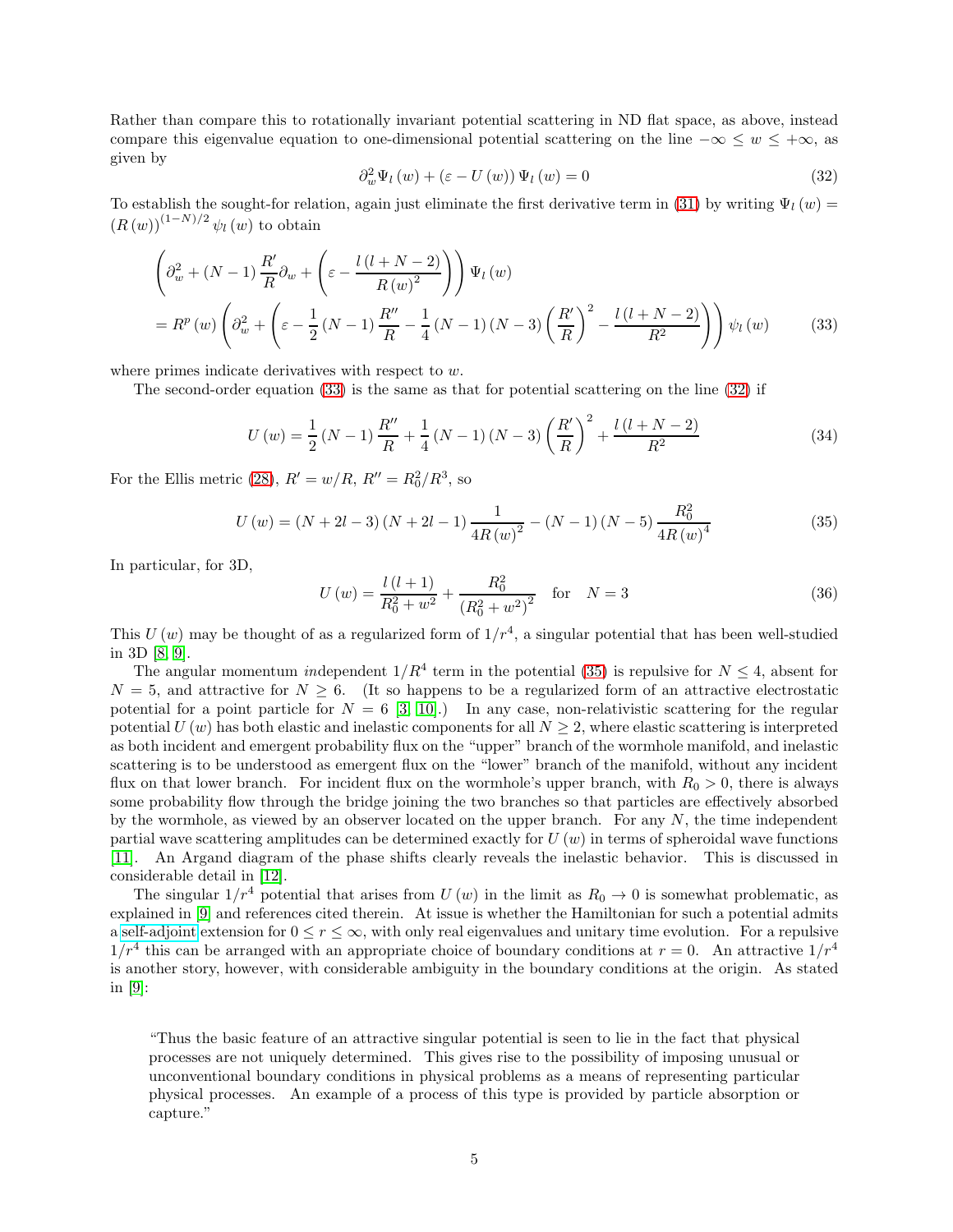Rather than compare this to rotationally invariant potential scattering in ND flat space, as above, instead compare this eigenvalue equation to one-dimensional potential scattering on the line  $-\infty \leq w \leq +\infty$ , as given by

<span id="page-4-1"></span><span id="page-4-0"></span>
$$
\partial_w^2 \Psi_l(w) + (\varepsilon - U(w)) \Psi_l(w) = 0 \tag{32}
$$

To establish the sought-for relation, again just eliminate the first derivative term in [\(31\)](#page-3-2) by writing  $\Psi_l(w)$  $(R(w))^{(1-N)/2} \psi_l(w)$  to obtain

$$
\left(\partial_w^2 + (N-1)\frac{R'}{R}\partial_w + \left(\varepsilon - \frac{l(l+N-2)}{R(w)^2}\right)\right)\Psi_l(w)
$$
\n
$$
= R^p(w)\left(\partial_w^2 + \left(\varepsilon - \frac{1}{2}(N-1)\frac{R''}{R} - \frac{1}{4}(N-1)(N-3)\left(\frac{R'}{R}\right)^2 - \frac{l(l+N-2)}{R^2}\right)\right)\psi_l(w) \tag{33}
$$

where primes indicate derivatives with respect to w.

The second-order equation [\(33\)](#page-4-0) is the same as that for potential scattering on the line [\(32\)](#page-4-1) if

<span id="page-4-3"></span>
$$
U(w) = \frac{1}{2}(N-1)\frac{R''}{R} + \frac{1}{4}(N-1)(N-3)\left(\frac{R'}{R}\right)^2 + \frac{l(l+N-2)}{R^2}
$$
(34)

For the Ellis metric [\(28\)](#page-3-3),  $R' = w/R$ ,  $R'' = R_0^2/R^3$ , so

<span id="page-4-2"></span>
$$
U(w) = (N + 2l - 3)(N + 2l - 1)\frac{1}{4R(w)^{2}} - (N - 1)(N - 5)\frac{R_{0}^{2}}{4R(w)^{4}}
$$
(35)

In particular, for 3D,

$$
U(w) = \frac{l(l+1)}{R_0^2 + w^2} + \frac{R_0^2}{\left(R_0^2 + w^2\right)^2} \quad \text{for} \quad N = 3 \tag{36}
$$

This  $U(w)$  may be thought of as a regularized form of  $1/r<sup>4</sup>$ , a singular potential that has been well-studied in 3D [\[8,](#page-5-7) [9\]](#page-5-8).

The angular momentum independent  $1/R^4$  term in the potential [\(35\)](#page-4-2) is repulsive for  $N \leq 4$ , absent for  $N = 5$ , and attractive for  $N \geq 6$ . (It so happens to be a regularized form of an attractive electrostatic potential for a point particle for  $N = 6$  [\[3,](#page-5-2) 10].) In any case, non-relativistic scattering for the regular potential  $U(w)$  has both elastic and inelastic components for all  $N \geq 2$ , where elastic scattering is interpreted as both incident and emergent probability flux on the "upper" branch of the wormhole manifold, and inelastic scattering is to be understood as emergent flux on the "lower" branch of the manifold, without any incident flux on that lower branch. For incident flux on the wormhole's upper branch, with  $R_0 > 0$ , there is always some probability flow through the bridge joining the two branches so that particles are effectively absorbed by the wormhole, as viewed by an observer located on the upper branch. For any  $N$ , the time independent partial wave scattering amplitudes can be determined exactly for  $U(w)$  in terms of spheroidal wave functions [\[11\]](#page-5-9). An Argand diagram of the phase shifts clearly reveals the inelastic behavior. This is discussed in considerable detail in [\[12\]](#page-5-10).

The singular  $1/r^4$  potential that arises from U (w) in the limit as  $R_0 \rightarrow 0$  is somewhat problematic, as explained in [\[9\]](#page-5-8) and references cited therein. At issue is whether the Hamiltonian for such a potential admits a [self-adjoint](https://en.wikipedia.org/wiki/Self-adjoint_operator#:~:text=Self-adjoint%20operators%20are%20used%20in%20functional%20analysis%20and,represented%20by%20self-adjoint%20operators%20on%20a%20Hilbert%20space.) extension for  $0 \le r \le \infty$ , with only real eigenvalues and unitary time evolution. For a repulsive  $1/r^4$  this can be arranged with an appropriate choice of boundary conditions at  $r = 0$ . An attractive  $1/r^4$ is another story, however, with considerable ambiguity in the boundary conditions at the origin. As stated in [\[9\]](#page-5-8):

"Thus the basic feature of an attractive singular potential is seen to lie in the fact that physical processes are not uniquely determined. This gives rise to the possibility of imposing unusual or unconventional boundary conditions in physical problems as a means of representing particular physical processes. An example of a process of this type is provided by particle absorption or capture."